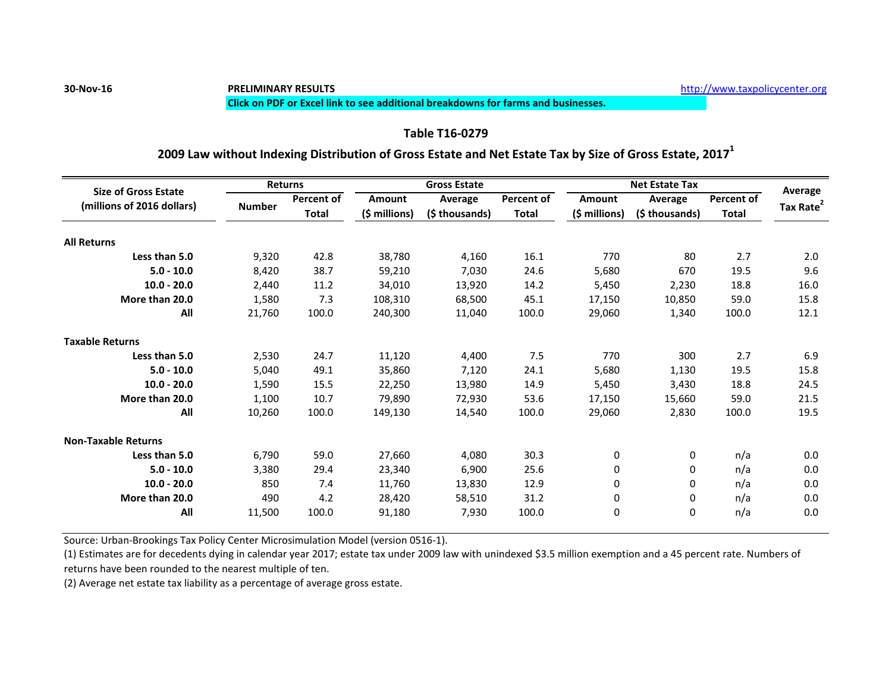## **30-Nov-16 PRELIMINARY RESULTS** [h](http://www.taxpolicycenter.org/)ttp://www.taxpolicycenter.org

### **Click on PDF or Excel link to see additional breakdowns for farms and businesses.**

## **Table T16-0279**

## **2009 Law without Indexing Distribution of Gross Estate and Net Estate Tax by Size of Gross Estate, 2017<sup>1</sup>**

| <b>Size of Gross Estate</b><br>(millions of 2016 dollars) |               | <b>Returns</b>             | <b>Gross Estate</b> |                           |                            | <b>Net Estate Tax</b> |                |                                   | Average               |
|-----------------------------------------------------------|---------------|----------------------------|---------------------|---------------------------|----------------------------|-----------------------|----------------|-----------------------------------|-----------------------|
|                                                           | <b>Number</b> | Percent of<br><b>Total</b> | <b>Amount</b>       | Average<br>(\$ thousands) | Percent of<br><b>Total</b> | <b>Amount</b>         | Average        | <b>Percent of</b><br><b>Total</b> |                       |
|                                                           |               |                            | (\$ millions)       |                           |                            | $(5 millions)$        | (\$ thousands) |                                   | Tax Rate <sup>2</sup> |
| <b>All Returns</b>                                        |               |                            |                     |                           |                            |                       |                |                                   |                       |
| Less than 5.0                                             | 9,320         | 42.8                       | 38,780              | 4,160                     | 16.1                       | 770                   | 80             | 2.7                               | 2.0                   |
| $5.0 - 10.0$                                              | 8,420         | 38.7                       | 59,210              | 7,030                     | 24.6                       | 5,680                 | 670            | 19.5                              | 9.6                   |
| $10.0 - 20.0$                                             | 2,440         | 11.2                       | 34,010              | 13,920                    | 14.2                       | 5,450                 | 2,230          | 18.8                              | 16.0                  |
| More than 20.0                                            | 1.580         | 7.3                        | 108,310             | 68.500                    | 45.1                       | 17.150                | 10.850         | 59.0                              | 15.8                  |
| All                                                       | 21,760        | 100.0                      | 240,300             | 11,040                    | 100.0                      | 29,060                | 1,340          | 100.0                             | 12.1                  |
| <b>Taxable Returns</b>                                    |               |                            |                     |                           |                            |                       |                |                                   |                       |
| Less than 5.0                                             | 2,530         | 24.7                       | 11,120              | 4,400                     | 7.5                        | 770                   | 300            | 2.7                               | 6.9                   |
| $5.0 - 10.0$                                              | 5,040         | 49.1                       | 35,860              | 7,120                     | 24.1                       | 5,680                 | 1,130          | 19.5                              | 15.8                  |
| $10.0 - 20.0$                                             | 1,590         | 15.5                       | 22,250              | 13,980                    | 14.9                       | 5,450                 | 3,430          | 18.8                              | 24.5                  |
| More than 20.0                                            | 1,100         | 10.7                       | 79,890              | 72.930                    | 53.6                       | 17.150                | 15,660         | 59.0                              | 21.5                  |
| All                                                       | 10,260        | 100.0                      | 149,130             | 14,540                    | 100.0                      | 29,060                | 2,830          | 100.0                             | 19.5                  |
| <b>Non-Taxable Returns</b>                                |               |                            |                     |                           |                            |                       |                |                                   |                       |
| Less than 5.0                                             | 6.790         | 59.0                       | 27,660              | 4,080                     | 30.3                       | 0                     | 0              | n/a                               | 0.0                   |
| $5.0 - 10.0$                                              | 3,380         | 29.4                       | 23,340              | 6,900                     | 25.6                       | 0                     | 0              | n/a                               | 0.0                   |
| $10.0 - 20.0$                                             | 850           | 7.4                        | 11,760              | 13,830                    | 12.9                       | 0                     | 0              | n/a                               | 0.0                   |
| More than 20.0                                            | 490           | 4.2                        | 28,420              | 58,510                    | 31.2                       | 0                     | 0              | n/a                               | 0.0                   |
| All                                                       | 11,500        | 100.0                      | 91,180              | 7,930                     | 100.0                      | 0                     | 0              | n/a                               | 0.0                   |

Source: Urban-Brookings Tax Policy Center Microsimulation Model (version 0516-1).

(1) Estimates are for decedents dying in calendar year 2017; estate tax under 2009 law with unindexed \$3.5 million exemption and a 45 percent rate. Numbers of returns have been rounded to the nearest multiple of ten.

(2) Average net estate tax liability as a percentage of average gross estate.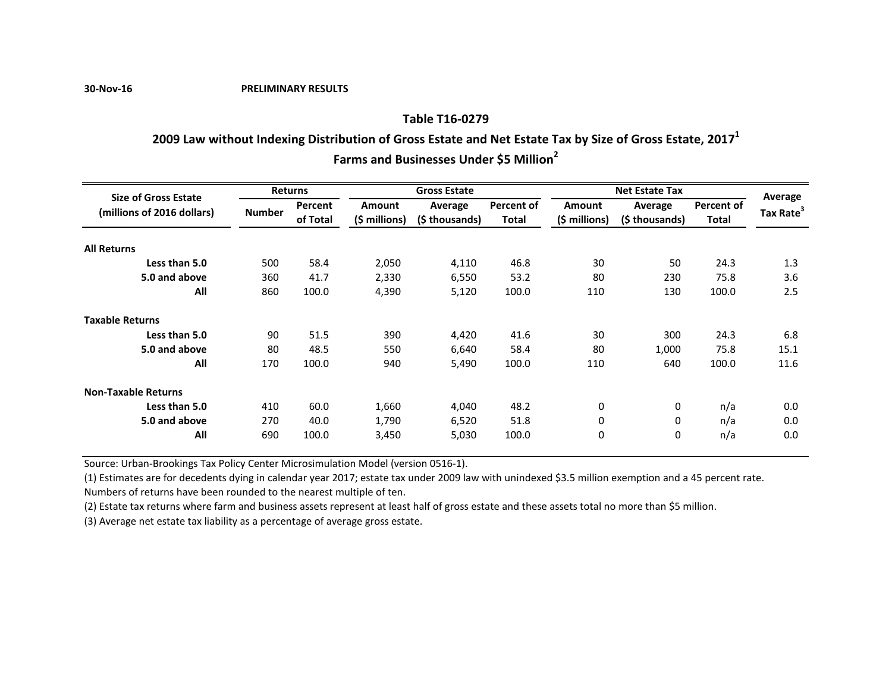**30-Nov-16 PRELIMINARY RESULTS**

### **Table T16-0279**

# **2009 Law without Indexing Distribution of Gross Estate and Net Estate Tax by Size of Gross Estate, 2017<sup>1</sup>**

**Farms and Businesses Under \$5 Million<sup>2</sup>**

| <b>Size of Gross Estate</b> | <b>Returns</b> |          |                | <b>Gross Estate</b> |            | <b>Net Estate Tax</b> | Average        |            |                       |
|-----------------------------|----------------|----------|----------------|---------------------|------------|-----------------------|----------------|------------|-----------------------|
| (millions of 2016 dollars)  |                | Percent  | <b>Amount</b>  | Average             | Percent of | <b>Amount</b>         | Average        | Percent of |                       |
|                             | <b>Number</b>  | of Total | $(5 millions)$ | (\$ thousands)      | Total      | (\$ millions)         | (\$ thousands) | Total      | Tax Rate <sup>3</sup> |
| <b>All Returns</b>          |                |          |                |                     |            |                       |                |            |                       |
| Less than 5.0               | 500            | 58.4     | 2,050          | 4,110               | 46.8       | 30                    | 50             | 24.3       | 1.3                   |
| 5.0 and above               | 360            | 41.7     | 2,330          | 6,550               | 53.2       | 80                    | 230            | 75.8       | 3.6                   |
| All                         | 860            | 100.0    | 4,390          | 5,120               | 100.0      | 110                   | 130            | 100.0      | 2.5                   |
| <b>Taxable Returns</b>      |                |          |                |                     |            |                       |                |            |                       |
| Less than 5.0               | 90             | 51.5     | 390            | 4,420               | 41.6       | 30                    | 300            | 24.3       | 6.8                   |
| 5.0 and above               | 80             | 48.5     | 550            | 6,640               | 58.4       | 80                    | 1.000          | 75.8       | 15.1                  |
| All                         | 170            | 100.0    | 940            | 5,490               | 100.0      | 110                   | 640            | 100.0      | 11.6                  |
| <b>Non-Taxable Returns</b>  |                |          |                |                     |            |                       |                |            |                       |
| Less than 5.0               | 410            | 60.0     | 1,660          | 4,040               | 48.2       | 0                     | 0              | n/a        | 0.0                   |
| 5.0 and above               | 270            | 40.0     | 1,790          | 6,520               | 51.8       | $\mathbf 0$           | 0              | n/a        | 0.0                   |
| All                         | 690            | 100.0    | 3,450          | 5,030               | 100.0      | $\mathbf 0$           | 0              | n/a        | 0.0                   |

Source: Urban-Brookings Tax Policy Center Microsimulation Model (version 0516-1).

(1) Estimates are for decedents dying in calendar year 2017; estate tax under 2009 law with unindexed \$3.5 million exemption and a 45 percent rate. Numbers of returns have been rounded to the nearest multiple of ten.

(2) Estate tax returns where farm and business assets represent at least half of gross estate and these assets total no more than \$5 million.

(3) Average net estate tax liability as a percentage of average gross estate.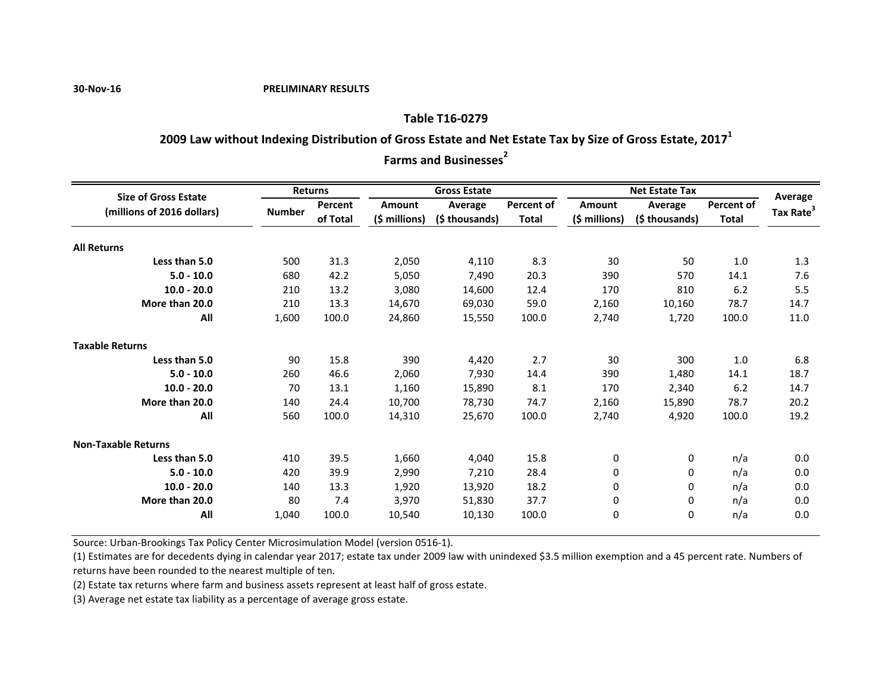#### **30-Nov-16 PRELIMINARY RESULTS**

## **Table T16-0279**

## **2009 Law without Indexing Distribution of Gross Estate and Net Estate Tax by Size of Gross Estate, 2017<sup>1</sup>**

**Farms and Businesses**<sup>2</sup>

| <b>Size of Gross Estate</b> | <b>Returns</b> |          | <b>Gross Estate</b> |                |                   | <b>Net Estate Tax</b> |                |                   | Average               |
|-----------------------------|----------------|----------|---------------------|----------------|-------------------|-----------------------|----------------|-------------------|-----------------------|
| (millions of 2016 dollars)  | <b>Number</b>  | Percent  | Amount              | Average        | <b>Percent of</b> | Amount                | Average        | <b>Percent of</b> | Tax Rate <sup>3</sup> |
|                             |                | of Total | $(\xi millions)$    | (\$ thousands) | <b>Total</b>      | $(5 millions)$        | (\$ thousands) | <b>Total</b>      |                       |
| <b>All Returns</b>          |                |          |                     |                |                   |                       |                |                   |                       |
| Less than 5.0               | 500            | 31.3     | 2,050               | 4,110          | 8.3               | 30                    | 50             | 1.0               | 1.3                   |
| $5.0 - 10.0$                | 680            | 42.2     | 5,050               | 7,490          | 20.3              | 390                   | 570            | 14.1              | 7.6                   |
| $10.0 - 20.0$               | 210            | 13.2     | 3,080               | 14,600         | 12.4              | 170                   | 810            | 6.2               | 5.5                   |
| More than 20.0              | 210            | 13.3     | 14,670              | 69,030         | 59.0              | 2,160                 | 10,160         | 78.7              | 14.7                  |
| All                         | 1,600          | 100.0    | 24,860              | 15,550         | 100.0             | 2,740                 | 1,720          | 100.0             | 11.0                  |
| <b>Taxable Returns</b>      |                |          |                     |                |                   |                       |                |                   |                       |
| Less than 5.0               | 90             | 15.8     | 390                 | 4,420          | 2.7               | 30                    | 300            | 1.0               | 6.8                   |
| $5.0 - 10.0$                | 260            | 46.6     | 2,060               | 7,930          | 14.4              | 390                   | 1,480          | 14.1              | 18.7                  |
| $10.0 - 20.0$               | 70             | 13.1     | 1,160               | 15,890         | 8.1               | 170                   | 2,340          | 6.2               | 14.7                  |
| More than 20.0              | 140            | 24.4     | 10,700              | 78,730         | 74.7              | 2,160                 | 15,890         | 78.7              | 20.2                  |
| All                         | 560            | 100.0    | 14,310              | 25,670         | 100.0             | 2,740                 | 4,920          | 100.0             | 19.2                  |
| <b>Non-Taxable Returns</b>  |                |          |                     |                |                   |                       |                |                   |                       |
| Less than 5.0               | 410            | 39.5     | 1,660               | 4,040          | 15.8              | 0                     | 0              | n/a               | 0.0                   |
| $5.0 - 10.0$                | 420            | 39.9     | 2,990               | 7,210          | 28.4              | 0                     | 0              | n/a               | 0.0                   |
| $10.0 - 20.0$               | 140            | 13.3     | 1,920               | 13,920         | 18.2              | 0                     | 0              | n/a               | 0.0                   |
| More than 20.0              | 80             | 7.4      | 3,970               | 51,830         | 37.7              | 0                     | 0              | n/a               | 0.0                   |
| All                         | 1,040          | 100.0    | 10,540              | 10,130         | 100.0             | 0                     | $\Omega$       | n/a               | 0.0                   |

Source: Urban-Brookings Tax Policy Center Microsimulation Model (version 0516-1).

(1) Estimates are for decedents dying in calendar year 2017; estate tax under 2009 law with unindexed \$3.5 million exemption and a 45 percent rate. Numbers of returns have been rounded to the nearest multiple of ten.

(2) Estate tax returns where farm and business assets represent at least half of gross estate.

(3) Average net estate tax liability as a percentage of average gross estate.